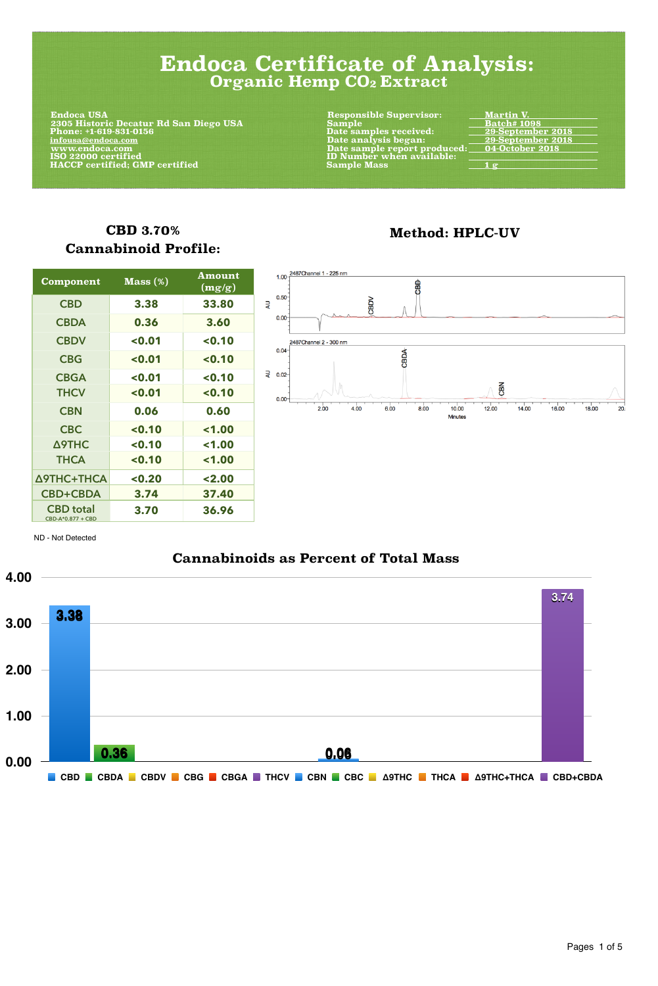#### **Cannabinoids as Percent of Total Mass**



### **CBD 3.70% Cannabinoid Profile:**

| <b>Component</b>                      | $Mass (\%)$ | <b>Amount</b><br>(mg/g) |
|---------------------------------------|-------------|-------------------------|
| <b>CBD</b>                            | 3.38        | 33.80                   |
| <b>CBDA</b>                           | 0.36        | 3.60                    |
| <b>CBDV</b>                           | < 0.01      | < 0.10                  |
| <b>CBG</b>                            | < 0.01      | < 0.10                  |
| <b>CBGA</b>                           | < 0.01      | $0.10$                  |
| <b>THCV</b>                           | < 0.01      | $0.10$                  |
| <b>CBN</b>                            | 0.06        | 0.60                    |
| <b>CBC</b>                            | $0.10$      | 1.00                    |
| $\Delta$ 9THC                         | < 0.10      | 1.00                    |
| <b>THCA</b>                           | $0.10$      | 1.00                    |
| <b><i><u>Δ9THC+THCA</u></i></b>       | < 0.20      | 2.00                    |
| <b>CBD+CBDA</b>                       | 3.74        | 37.40                   |
| <b>CBD</b> total<br>CBD-A*0.877 + CBD | 3.70        | 36.96                   |



Minutes

#### **Method: HPLC-UV**

Pages 1 of 5

ND - Not Detected

# **Endoca Certificate of Analysis: Organic Hemp CO2 Extract**

**Endoca USA 2305 Historic Decatur Rd San Diego USA Sample Batch# 1098 Phone: +1-619-831-0156 Date samples received: 29-September 2018 infousa@endoca.com Date analysis began: 29-September 2018 MEXA EXECUTE:** WWW.endoca.com Date sample report produced: Date sample report produced:  **HACCP certified; GMP certified Sample Mass 4 g \cdots** 

**Responsible Supervisor:** Martin V.<br>
Sample Martin 1098 **ID Number when available:**<br>Sample Mass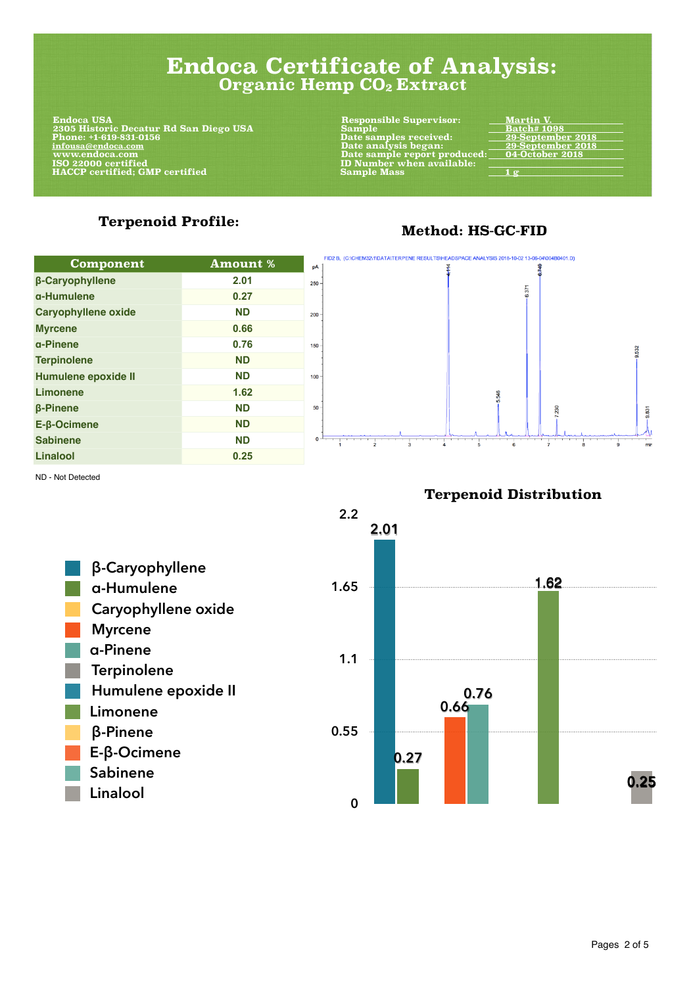#### **Terpenoid Profile:**

| <b>Component</b>              | <b>Amount %</b> | FID2 B, (C:\CHEM32\1\DATA\TERPENE RESULTS\HEADSPACE ANALYSIS 2018-10-02 13-06-04\004B0401.D)<br>pA |
|-------------------------------|-----------------|----------------------------------------------------------------------------------------------------|
| <b><i>B-Caryophyllene</i></b> | 2.01            | $250 -$                                                                                            |
| a-Humulene                    | 0.27            | $\overline{371}$                                                                                   |
| <b>Caryophyllene oxide</b>    | <b>ND</b>       | $200 -$                                                                                            |
| <b>Myrcene</b>                | 0.66            |                                                                                                    |
| a-Pinene                      | 0.76            | 150                                                                                                |
| <b>Terpinolene</b>            | <b>ND</b>       |                                                                                                    |
| Humulene epoxide II           | <b>ND</b>       | $100 -$                                                                                            |
| <b>Limonene</b>               | 1.62            |                                                                                                    |
| <b><i>B-Pinene</i></b>        | <b>ND</b>       | 50                                                                                                 |
| <b>PAA!</b>                   | <b>AIR</b>      |                                                                                                    |



Pages 2 of 5

#### **Method: HS-GC-FID**

## **Endoca Certificate of Analysis: Organic Hemp CO2 Extract**

 **Endoca USA Responsible Supervisor: Martin V. 2305 Historic Decatur Rd San Diego USA Sample Batch# 1098 Phone: +1-619-831-0156 Date samples received: 29-September 2018 infousa@endoca.com Date analysis began: 29-September 2018**  www.endoca.com Date sample report produced:<br>ISO 22000 certified ID Number when available:  **HACCP certified; GMP certified Sample Mass 1 g** 

**ID Number when available:**<br>Sample Mass

9.532

9.831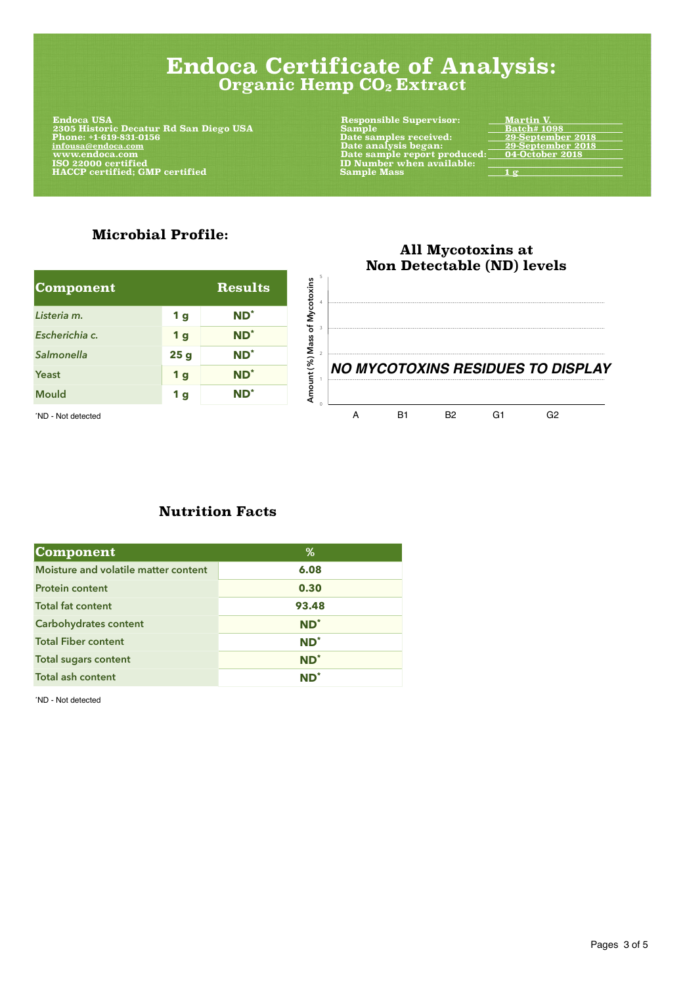#### **All Mycotoxins at Non Detectable (ND) levels**

**Amount (%) Mass of Mycotoxins**

Amount (%) Mass of Mycotoxins

0

1

2

3

4

5

#### **Microbial Profile:**

| Component      |            | <b>Results</b>  |
|----------------|------------|-----------------|
| Listeria m.    | <b>1</b> g | $ND^*$          |
| Escherichia c. | <b>1</b> g | ND <sup>*</sup> |
| Salmonella     | 25g        | ND <sup>*</sup> |
| Yeast          | <b>1</b> g | ND <sup>*</sup> |
| <b>Mould</b>   | <b>1g</b>  | $ND^*$          |

**NO MYCOTOXINS RESIDUES TO DISPLAY**

\*ND - Not detected G2 G1 G2

#### **Nutrition Facts**

| <b>Component</b>                            | $\%$            |
|---------------------------------------------|-----------------|
| <b>Moisture and volatile matter content</b> | 6.08            |
| <b>Protein content</b>                      | 0.30            |
| <b>Total fat content</b>                    | 93.48           |
| <b>Carbohydrates content</b>                | $ND^*$          |
| <b>Total Fiber content</b>                  | $ND^*$          |
| <b>Total sugars content</b>                 | $ND^*$          |
| <b>Total ash content</b>                    | $\mathbf{ND}^*$ |

\*ND - Not detected

Pages 3 of 5

# **Endoca Certificate of Analysis: Organic Hemp CO2 Extract**

**Endoca USA 2305 Historic Decatur Rd San Diego USA Sample** Sample **Example Batch # 1098 Phone:** +1-619-831-0156 **Phone:** +1-619-831-0156  **Phone: +1-619-831-0156 Date samples received: 29-September 2018 infousa@endoca.com Date analysis began: 29-September 2018 MEXA EXAMPLE THE SAMP SERVITE SERVITEES AND MUNICIPAL SERVITEERS OF DATE SAMPLE REPORT PRODUCED:** 04-OCTOBER 2000<br>19 - DI Number when available: 150 22000 certified  **HACCP certified; GMP certified**  Sample Mass 2 g  $\frac{1 g}{2}$ 

**Responsible Supervisor:** Martin V.<br>
Sample Martin 1098 **ID Number when available:**<br>Sample Mass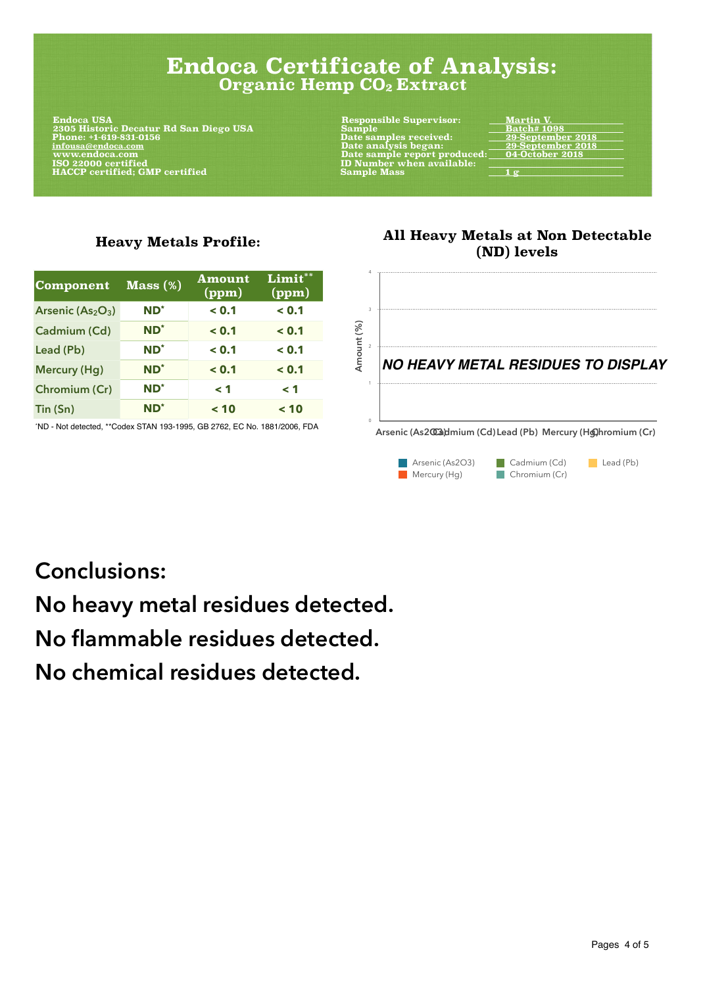#### **All Heavy Metals at Non Detectable (ND) levels**

0



#### **Heavy Metals Profile:**

| <b>Component</b>     | Mass(%)         | <b>Amount</b><br>(ppm) | Limit**<br>(ppm) |
|----------------------|-----------------|------------------------|------------------|
| Arsenic $(As2O3)$    | ND <sup>*</sup> | < 0.1                  | < 0.1            |
| <b>Cadmium (Cd)</b>  | ND <sup>*</sup> | < 0.1                  | < 0.1            |
| Lead (Pb)            | $ND^*$          | < 0.1                  | < 0.1            |
| <b>Mercury (Hg)</b>  | ND <sup>*</sup> | < 0.1                  | < 0.1            |
| <b>Chromium (Cr)</b> | ND <sup>*</sup> | $\leq 1$               | $\leq 1$         |
| Tin (Sn)             | ND <sup>*</sup> | < 10                   | < 10             |

# **Conclusions:**

# **No heavy metal residues detected.**

# **No flammable residues detected.**

# **No chemical residues detected.**

**Arsenic (As2CCadmium (Cd) Lead (Pb) Mercury (Hg)hromium (Cr)** 

Pages 4 of 5

### **Endoca Certificate of Analysis: Organic Hemp CO2 Extract**

**Endoca USA 2305 Historic Decatur Rd San Diego USA Sample Batch# 1098 Phone: +1-619-831-0156 Date samples received: 29-September 2018 infousa@endoca.com Date analysis began: 29-September 2018**  www.endoca.com **Date sample report produced:** Date sample report produced: <u>Date sample</u> report produced: <u>Depart</u> is a set of the Date sample report produced: <u>Department</u> is a set of the UD Number when available:  $\overline{\phantom$  **HACCP** certified; GMP certified Sample Mass Sample Mass 1 g

**Responsible Supervisor:** Martin V.<br>
Sample Martin 1098 **ID Number when available:**<br>Sample Mass